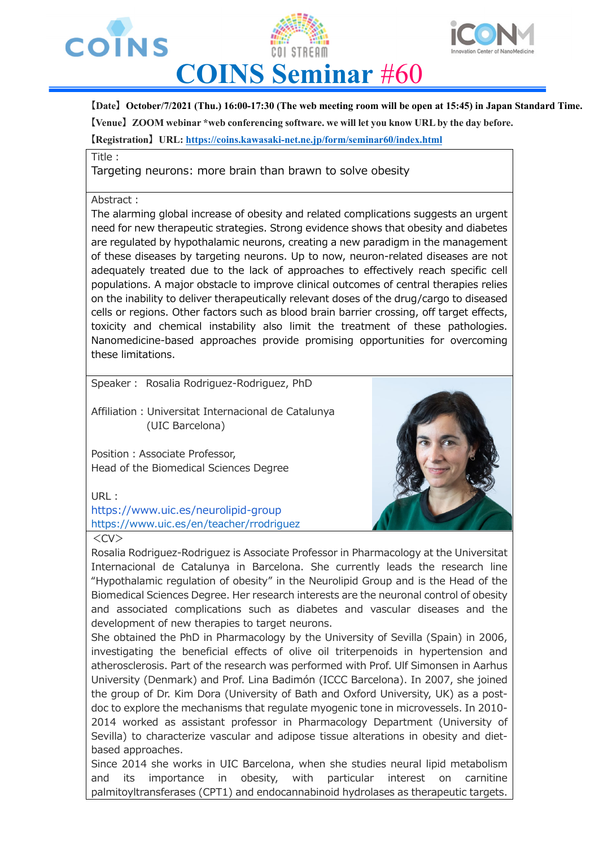





## **COINS Seminar** #60

**【Date】October/7/2021 (Thu.) 16:00-17:30 (The web meeting room will be open at 15:45) in Japan Standard Time. 【Venue】ZOOM webinar \*web conferencing software. we will let you know URL by the day before.** 

**【Registration】URL: https://coins.kawasaki-net.ne.jp/form/seminar60/index.html**

Title:

Targeting neurons: more brain than brawn to solve obesity

## Abstract:

The alarming global increase of obesity and related complications suggests an urgent need for new therapeutic strategies. Strong evidence shows that obesity and diabetes are regulated by hypothalamic neurons, creating a new paradigm in the management of these diseases by targeting neurons. Up to now, neuron-related diseases are not adequately treated due to the lack of approaches to effectively reach specific cell populations. A major obstacle to improve clinical outcomes of central therapies relies on the inability to deliver therapeutically relevant doses of the drug/cargo to diseased cells or regions. Other factors such as blood brain barrier crossing, off target effects, toxicity and chemical instability also limit the treatment of these pathologies. Nanomedicine-based approaches provide promising opportunities for overcoming these limitations.

Speaker: Rosalia Rodriguez-Rodriguez, PhD

Affiliation : Universitat Internacional de Catalunya (UIC Barcelona)

Position: Associate Professor, Head of the Biomedical Sciences Degree

URL:

https://www.uic.es/neurolipid-group https://www.uic.es/en/teacher/rrodriguez



Rosalia Rodriguez-Rodriguez is Associate Professor in Pharmacology at the Universitat Internacional de Catalunya in Barcelona. She currently leads the research line "Hypothalamic regulation of obesity" in the Neurolipid Group and is the Head of the Biomedical Sciences Degree. Her research interests are the neuronal control of obesity and associated complications such as diabetes and vascular diseases and the development of new therapies to target neurons.

She obtained the PhD in Pharmacology by the University of Sevilla (Spain) in 2006, investigating the beneficial effects of olive oil triterpenoids in hypertension and atherosclerosis. Part of the research was performed with Prof. Ulf Simonsen in Aarhus University (Denmark) and Prof. Lina Badimón (ICCC Barcelona). In 2007, she joined the group of Dr. Kim Dora (University of Bath and Oxford University, UK) as a postdoc to explore the mechanisms that regulate myogenic tone in microvessels. In 2010- 2014 worked as assistant professor in Pharmacology Department (University of Sevilla) to characterize vascular and adipose tissue alterations in obesity and dietbased approaches.

Since 2014 she works in UIC Barcelona, when she studies neural lipid metabolism and its importance in obesity, with particular interest on carnitine palmitoyltransferases (CPT1) and endocannabinoid hydrolases as therapeutic targets.